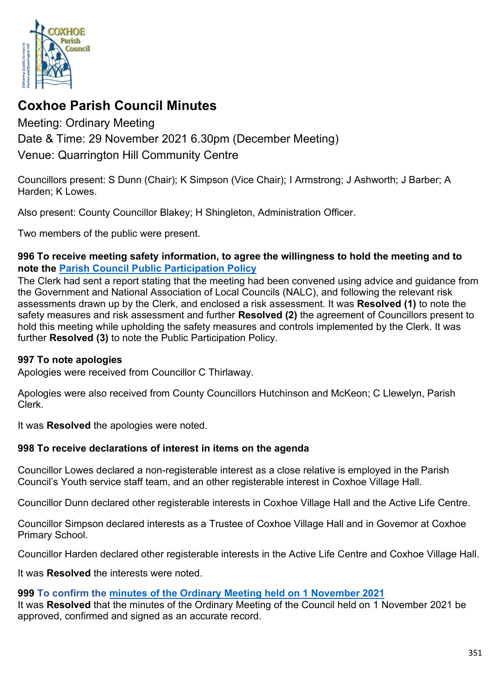

# **Coxhoe Parish Council Minutes**

# Meeting: Ordinary Meeting Date & Time: 29 November 2021 6.30pm (December Meeting) Venue: Quarrington Hill Community Centre

Councillors present: S Dunn (Chair); K Simpson (Vice Chair); I Armstrong; J Ashworth; J Barber; A Harden; K Lowes.

Also present: County Councillor Blakey; H Shingleton, Administration Officer.

Two members of the public were present.

### **996 To receive meeting safety information, to agree the willingness to hold the meeting and to note the [Parish Council Public Participation Policy](http://coxhoeparishcouncil.gov.uk/important-documents-and-policies/public-participation-policy-fmarch-2020-review-date-march-2022/)**

The Clerk had sent a report stating that the meeting had been convened using advice and guidance from the Government and National Association of Local Councils (NALC), and following the relevant risk assessments drawn up by the Clerk, and enclosed a risk assessment. It was **Resolved (1)** to note the safety measures and risk assessment and further **Resolved (2)** the agreement of Councillors present to hold this meeting while upholding the safety measures and controls implemented by the Clerk. It was further **Resolved (3)** to note the Public Participation Policy.

### **997 To note apologies**

Apologies were received from Councillor C Thirlaway.

Apologies were also received from County Councillors Hutchinson and McKeon; C Llewelyn, Parish Clerk.

It was **Resolved** the apologies were noted.

# **998 To receive declarations of interest in items on the agenda**

Councillor Lowes declared a non-registerable interest as a close relative is employed in the Parish Council's Youth service staff team, and an other registerable interest in Coxhoe Village Hall.

Councillor Dunn declared other registerable interests in Coxhoe Village Hall and the Active Life Centre.

Councillor Simpson declared interests as a Trustee of Coxhoe Village Hall and in Governor at Coxhoe Primary School.

Councillor Harden declared other registerable interests in the Active Life Centre and Coxhoe Village Hall.

It was **Resolved** the interests were noted.

# **999 To confirm the [minutes of the Ordinary Meeting held on 1 November 2021](https://1drv.ms/b/s!Alg_TKmu7xwUgdIREdpDbDVDZ1Yobg?e=vCJyzT)**

It was **Resolved** that the minutes of the Ordinary Meeting of the Council held on 1 November 2021 be approved, confirmed and signed as an accurate record.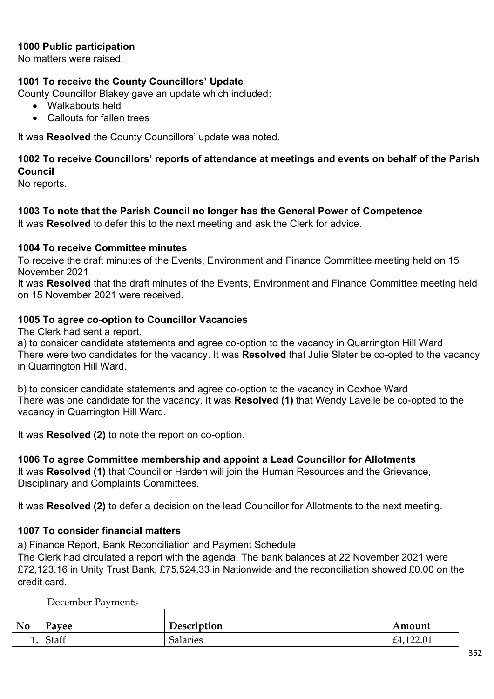### **1000 Public participation**

No matters were raised.

### **1001 To receive the County Councillors' Update**

County Councillor Blakey gave an update which included:

- Walkabouts held
- Callouts for fallen trees

It was **Resolved** the County Councillors' update was noted.

# **1002 To receive Councillors' reports of attendance at meetings and events on behalf of the Parish Council**

No reports.

**1003 To note that the Parish Council no longer has the General Power of Competence**  It was **Resolved** to defer this to the next meeting and ask the Clerk for advice.

#### **1004 To receive Committee minutes**

To receive the draft minutes of the Events, Environment and Finance Committee meeting held on 15 November 2021

It was **Resolved** that the draft minutes of the Events, Environment and Finance Committee meeting held on 15 November 2021 were received.

#### **1005 To agree co-option to Councillor Vacancies**

The Clerk had sent a report.

a) to consider candidate statements and agree co-option to the vacancy in Quarrington Hill Ward There were two candidates for the vacancy. It was **Resolved** that Julie Slater be co-opted to the vacancy in Quarrington Hill Ward.

b) to consider candidate statements and agree co-option to the vacancy in Coxhoe Ward There was one candidate for the vacancy. It was **Resolved (1)** that Wendy Lavelle be co-opted to the vacancy in Quarrington Hill Ward.

It was **Resolved (2)** to note the report on co-option.

#### **1006 To agree Committee membership and appoint a Lead Councillor for Allotments**

It was **Resolved (1)** that Councillor Harden will join the Human Resources and the Grievance, Disciplinary and Complaints Committees.

It was **Resolved (2)** to defer a decision on the lead Councillor for Allotments to the next meeting.

#### **1007 To consider financial matters**

a) Finance Report, Bank Reconciliation and Payment Schedule

The Clerk had circulated a report with the agenda. The bank balances at 22 November 2021 were £72,123.16 in Unity Trust Bank, £75,524.33 in Nationwide and the reconciliation showed £0.00 on the credit card.

December Payments

| <b>No</b> | Payee | Description     | Amount    |
|-----------|-------|-----------------|-----------|
| ⊥.        | Staff | <b>Salaries</b> | £4,122.01 |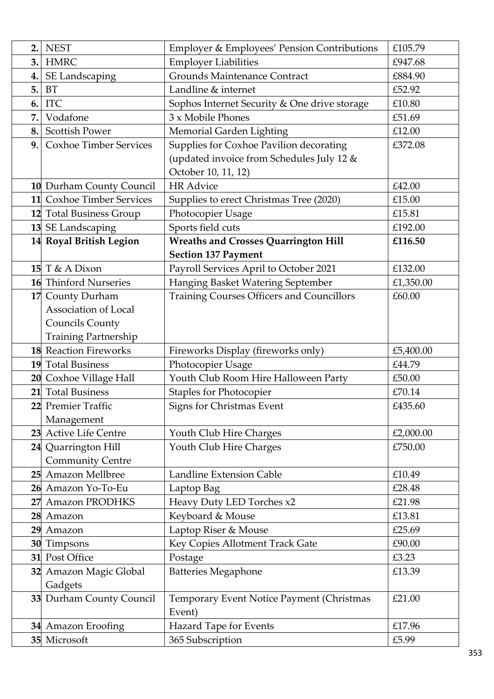| 2. | <b>NEST</b>                        | <b>Employer &amp; Employees' Pension Contributions</b> | £105.79         |
|----|------------------------------------|--------------------------------------------------------|-----------------|
| 3. | <b>HMRC</b>                        | <b>Employer Liabilities</b>                            | £947.68         |
| 4. | SE Landscaping                     | <b>Grounds Maintenance Contract</b>                    | £884.90         |
| 5. | <b>BT</b>                          | Landline & internet                                    | £52.92          |
| 6. | <b>ITC</b>                         | Sophos Internet Security & One drive storage           | £10.80          |
| 7. | Vodafone                           | 3 x Mobile Phones                                      | £51.69          |
| 8. | <b>Scottish Power</b>              | Memorial Garden Lighting                               | £12.00          |
| 9. | <b>Coxhoe Timber Services</b>      | Supplies for Coxhoe Pavilion decorating                | £372.08         |
|    |                                    | (updated invoice from Schedules July 12 &              |                 |
|    |                                    | October 10, 11, 12)                                    |                 |
|    | 10 Durham County Council           | <b>HR Advice</b>                                       | £42.00          |
|    | 11 Coxhoe Timber Services          | Supplies to erect Christmas Tree (2020)                | £15.00          |
|    | 12 Total Business Group            | Photocopier Usage                                      | £15.81          |
|    | 13 SE Landscaping                  | Sports field cuts                                      | £192.00         |
|    | 14 Royal British Legion            | <b>Wreaths and Crosses Quarrington Hill</b>            | £116.50         |
|    |                                    | <b>Section 137 Payment</b>                             |                 |
|    | 15 $T & A$ Dixon                   | Payroll Services April to October 2021                 | £132.00         |
|    | 16 Thinford Nurseries              | Hanging Basket Watering September                      | £1,350.00       |
|    | 17 County Durham                   | <b>Training Courses Officers and Councillors</b>       | £60.00          |
|    | Association of Local               |                                                        |                 |
|    | <b>Councils County</b>             |                                                        |                 |
|    | <b>Training Partnership</b>        |                                                        |                 |
|    | <b>18</b> Reaction Fireworks       | Fireworks Display (fireworks only)                     | £5,400.00       |
|    | <b>19</b> Total Business           | Photocopier Usage                                      | £44.79          |
|    | 20 Coxhoe Village Hall             | Youth Club Room Hire Halloween Party                   | £50.00          |
|    | 21 Total Business                  |                                                        |                 |
|    |                                    | <b>Staples for Photocopier</b>                         | £70.14          |
|    | 22 Premier Traffic                 | <b>Signs for Christmas Event</b>                       | £435.60         |
|    | Management                         |                                                        |                 |
|    | 23 Active Life Centre              | Youth Club Hire Charges                                | £2,000.00       |
|    | 24 Quarrington Hill                | Youth Club Hire Charges                                | £750.00         |
|    | <b>Community Centre</b>            |                                                        |                 |
|    | 25 Amazon Mellbree                 | <b>Landline Extension Cable</b>                        | £10.49          |
|    | 26 Amazon Yo-To-Eu                 | Laptop Bag                                             | £28.48          |
| 27 | <b>Amazon PRODHKS</b>              | Heavy Duty LED Torches x2                              | £21.98          |
|    | 28 Amazon                          | Keyboard & Mouse                                       | £13.81          |
|    | 29 Amazon                          | Laptop Riser & Mouse                                   | £25.69          |
|    | 30 Timpsons                        | Key Copies Allotment Track Gate                        | £90.00          |
|    | 31 Post Office                     | Postage                                                | £3.23           |
|    | 32 Amazon Magic Global             | <b>Batteries Megaphone</b>                             | £13.39          |
|    | Gadgets                            |                                                        |                 |
|    | 33 Durham County Council           | Temporary Event Notice Payment (Christmas              | £21.00          |
|    |                                    | Event)                                                 |                 |
|    | 34 Amazon Eroofing<br>35 Microsoft | Hazard Tape for Events<br>365 Subscription             | £17.96<br>£5.99 |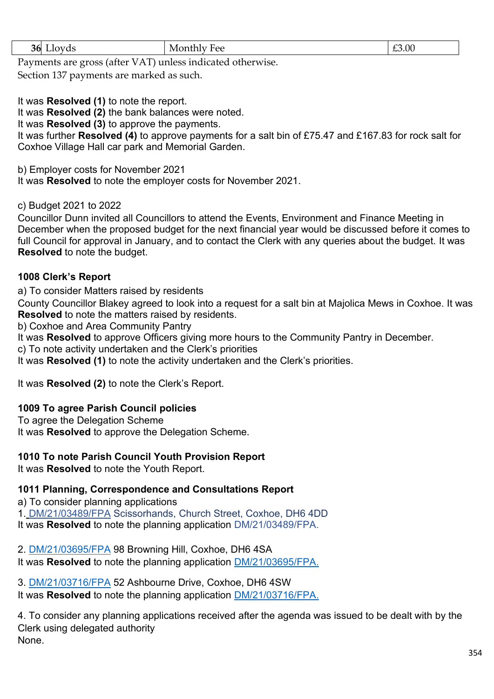| 56<br>$ -$<br>$\overline{\phantom{a}}$<br>__ | ---<br>нос<br>, ו<br>$\sim$<br>.<br>- - - | $\angle 3.00$ |
|----------------------------------------------|-------------------------------------------|---------------|
| the company's company's company's<br>__      |                                           |               |

Payments are gross (after VAT) unless indicated otherwise.

Section 137 payments are marked as such.

It was **Resolved (1)** to note the report.

It was **Resolved (2)** the bank balances were noted.

It was **Resolved (3)** to approve the payments.

It was further **Resolved (4)** to approve payments for a salt bin of £75.47 and £167.83 for rock salt for Coxhoe Village Hall car park and Memorial Garden.

b) Employer costs for November 2021

It was **Resolved** to note the employer costs for November 2021.

c) Budget 2021 to 2022

Councillor Dunn invited all Councillors to attend the Events, Environment and Finance Meeting in December when the proposed budget for the next financial year would be discussed before it comes to full Council for approval in January, and to contact the Clerk with any queries about the budget. It was **Resolved** to note the budget.

# **1008 Clerk's Report**

a) To consider Matters raised by residents

County Councillor Blakey agreed to look into a request for a salt bin at Majolica Mews in Coxhoe. It was **Resolved** to note the matters raised by residents.

b) Coxhoe and Area Community Pantry

It was **Resolved** to approve Officers giving more hours to the Community Pantry in December.

c) To note activity undertaken and the Clerk's priorities

It was **Resolved (1)** to note the activity undertaken and the Clerk's priorities.

It was **Resolved (2)** to note the Clerk's Report.

# **1009 To agree Parish Council policies**

To agree the Delegation Scheme It was **Resolved** to approve the Delegation Scheme.

# **1010 To note Parish Council Youth Provision Report**

It was **Resolved** to note the Youth Report.

# **1011 Planning, Correspondence and Consultations Report**

a) To consider planning applications 1. [DM/21/03489/FPA](https://publicaccess.durham.gov.uk/online-applications/applicationDetails.do?activeTab=documents&keyVal=R0LGQIGDIP900) Scissorhands, Church Street, Coxhoe, DH6 4DD It was **Resolved** to note the planning application [DM/21/03489/FPA.](https://publicaccess.durham.gov.uk/online-applications/applicationDetails.do?activeTab=documents&keyVal=R0LGQIGDIP900)

2. [DM/21/03695/FPA](https://publicaccess.durham.gov.uk/online-applications/applicationDetails.do?activeTab=documents&keyVal=R1JF0HGDJ0H00) 98 Browning Hill, Coxhoe, DH6 4SA

It was **Resolved** to note the planning application [DM/21/03695/FPA.](https://publicaccess.durham.gov.uk/online-applications/applicationDetails.do?activeTab=documents&keyVal=R1JF0HGDJ0H00)

3. [DM/21/03716/FPA](https://publicaccess.durham.gov.uk/online-applications/applicationDetails.do?activeTab=documents&keyVal=R1MI33GDJ1U00) 52 Ashbourne Drive, Coxhoe, DH6 4SW It was **Resolved** to note the planning application [DM/21/03716/FPA.](https://publicaccess.durham.gov.uk/online-applications/applicationDetails.do?activeTab=documents&keyVal=R1MI33GDJ1U00)

4. To consider any planning applications received after the agenda was issued to be dealt with by the Clerk using delegated authority None.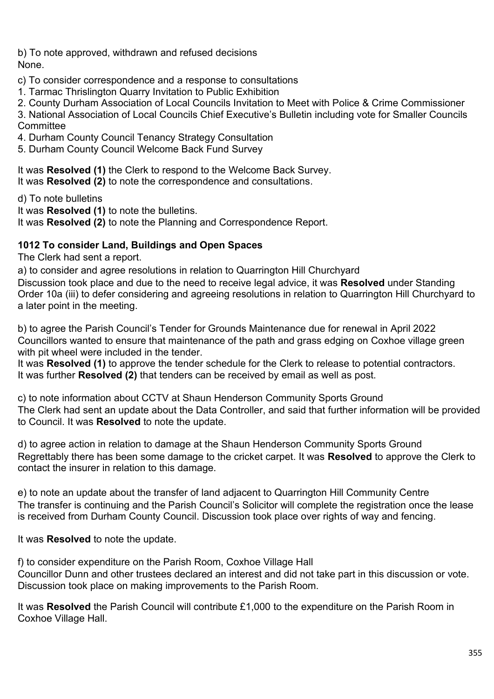b) To note approved, withdrawn and refused decisions None.

c) To consider correspondence and a response to consultations

1. Tarmac Thrislington Quarry Invitation to Public Exhibition

2. County Durham Association of Local Councils Invitation to Meet with Police & Crime Commissioner

3. National Association of Local Councils Chief Executive's Bulletin including vote for Smaller Councils **Committee** 

4. Durham County Council Tenancy Strategy Consultation

5. Durham County Council Welcome Back Fund Survey

It was **Resolved (1)** the Clerk to respond to the Welcome Back Survey. It was **Resolved (2)** to note the correspondence and consultations.

d) To note bulletins

It was **Resolved (1)** to note the bulletins.

It was **Resolved (2)** to note the Planning and Correspondence Report.

# **1012 To consider Land, Buildings and Open Spaces**

The Clerk had sent a report.

a) to consider and agree resolutions in relation to Quarrington Hill Churchyard Discussion took place and due to the need to receive legal advice, it was **Resolved** under Standing Order 10a (iii) to defer considering and agreeing resolutions in relation to Quarrington Hill Churchyard to a later point in the meeting.

b) to agree the Parish Council's Tender for Grounds Maintenance due for renewal in April 2022 Councillors wanted to ensure that maintenance of the path and grass edging on Coxhoe village green with pit wheel were included in the tender.

It was **Resolved (1)** to approve the tender schedule for the Clerk to release to potential contractors. It was further **Resolved (2)** that tenders can be received by email as well as post.

c) to note information about CCTV at Shaun Henderson Community Sports Ground The Clerk had sent an update about the Data Controller, and said that further information will be provided to Council. It was **Resolved** to note the update.

d) to agree action in relation to damage at the Shaun Henderson Community Sports Ground Regrettably there has been some damage to the cricket carpet. It was **Resolved** to approve the Clerk to contact the insurer in relation to this damage.

e) to note an update about the transfer of land adjacent to Quarrington Hill Community Centre The transfer is continuing and the Parish Council's Solicitor will complete the registration once the lease is received from Durham County Council. Discussion took place over rights of way and fencing.

It was **Resolved** to note the update.

f) to consider expenditure on the Parish Room, Coxhoe Village Hall Councillor Dunn and other trustees declared an interest and did not take part in this discussion or vote. Discussion took place on making improvements to the Parish Room.

It was **Resolved** the Parish Council will contribute £1,000 to the expenditure on the Parish Room in Coxhoe Village Hall.